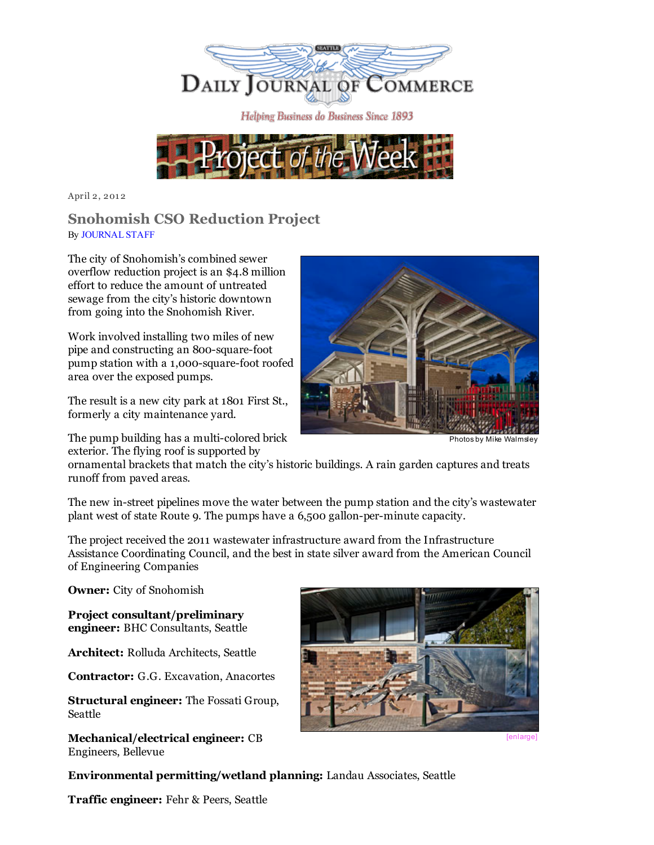



April 2, 2012

## Snohomish CSO Reduction Project By [JOURNAL](mailto:maudes@djc.com) STAFF

The city of Snohomish's combined sewer overflow reduction project is an \$4.8 million effort to reduce the amount of untreated sewage from the city's historic downtown from going into the Snohomish River.

Work involved installing two miles of new pipe and constructing an 800-square-foot pump station with a 1,000-square-foot roofed area over the exposed pumps.

The result is a new city park at 1801 First St., formerly a city maintenance yard.

The pump building has a multi-colored brick exterior. The flying roof is supported by



Photosby Mike Walmsley

ornamental brackets that match the city's historic buildings. A rain garden captures and treats runoff from paved areas.

The new in-street pipelines move the water between the pump station and the city's wastewater plant west of state Route 9. The pumps have a 6,500 gallon-per-minute capacity.

The project received the 2011 wastewater infrastructure award from the Infrastructure Assistance Coordinating Council, and the best in state silver award from the American Council of Engineering Companies

Owner: City of Snohomish

Project consultant/preliminary engineer: BHC Consultants, Seattle

Architect: Rolluda Architects, Seattle

Contractor: G.G. Excavation, Anacortes

Structural engineer: The Fossati Group, Seattle

Mechanical/electrical engineer: CB Engineers, Bellevue



Environmental permitting/wetland planning: Landau Associates, Seattle

Traffic engineer: Fehr & Peers, Seattle